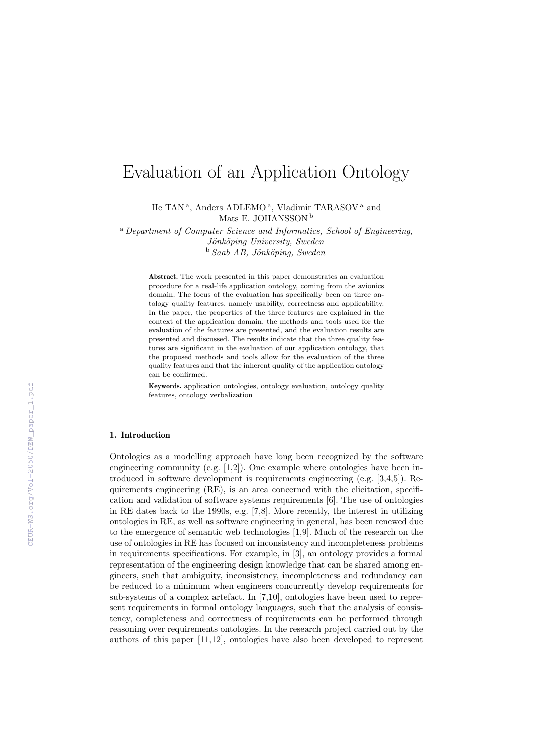# Evaluation of an Application Ontology

He TAN<sup>a</sup>, Anders ADLEMO<sup>a</sup>, Vladimir TARASOV<sup>a</sup> and Mats E. JOHANSSON<sup>b</sup>

<sup>a</sup> Department of Computer Science and Informatics, School of Engineering, Jönköping University, Sweden  $b$  Saab AB, Jönköping, Sweden

> Abstract. The work presented in this paper demonstrates an evaluation procedure for a real-life application ontology, coming from the avionics domain. The focus of the evaluation has specifically been on three ontology quality features, namely usability, correctness and applicability. In the paper, the properties of the three features are explained in the context of the application domain, the methods and tools used for the evaluation of the features are presented, and the evaluation results are presented and discussed. The results indicate that the three quality features are significant in the evaluation of our application ontology, that the proposed methods and tools allow for the evaluation of the three quality features and that the inherent quality of the application ontology can be confirmed.

> Keywords. application ontologies, ontology evaluation, ontology quality features, ontology verbalization

## 1. Introduction

Ontologies as a modelling approach have long been recognized by the software engineering community (e.g.  $[1,2]$ ). One example where ontologies have been introduced in software development is requirements engineering (e.g. [3,4,5]). Requirements engineering (RE), is an area concerned with the elicitation, specification and validation of software systems requirements [6]. The use of ontologies in RE dates back to the 1990s, e.g. [7,8]. More recently, the interest in utilizing ontologies in RE, as well as software engineering in general, has been renewed due to the emergence of semantic web technologies [1,9]. Much of the research on the use of ontologies in RE has focused on inconsistency and incompleteness problems in requirements specifications. For example, in [3], an ontology provides a formal representation of the engineering design knowledge that can be shared among engineers, such that ambiguity, inconsistency, incompleteness and redundancy can be reduced to a minimum when engineers concurrently develop requirements for sub-systems of a complex artefact. In [7,10], ontologies have been used to represent requirements in formal ontology languages, such that the analysis of consistency, completeness and correctness of requirements can be performed through reasoning over requirements ontologies. In the research project carried out by the authors of this paper [11,12], ontologies have also been developed to represent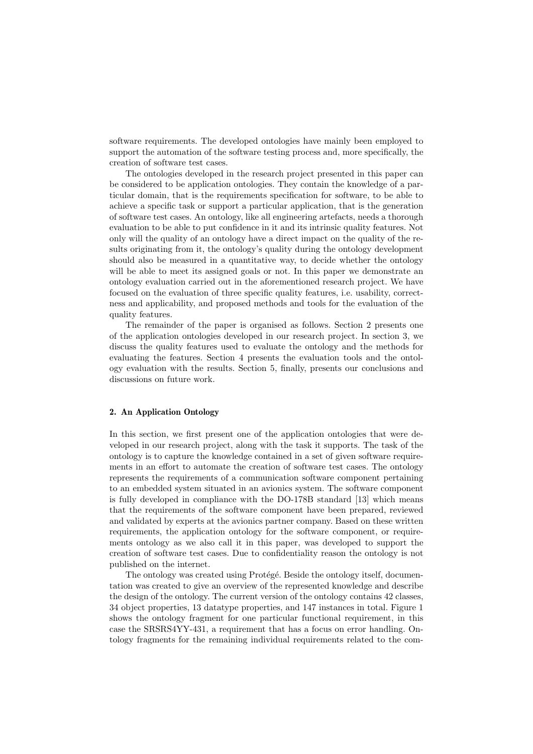software requirements. The developed ontologies have mainly been employed to support the automation of the software testing process and, more specifically, the creation of software test cases.

The ontologies developed in the research project presented in this paper can be considered to be application ontologies. They contain the knowledge of a particular domain, that is the requirements specification for software, to be able to achieve a specific task or support a particular application, that is the generation of software test cases. An ontology, like all engineering artefacts, needs a thorough evaluation to be able to put confidence in it and its intrinsic quality features. Not only will the quality of an ontology have a direct impact on the quality of the results originating from it, the ontology's quality during the ontology development should also be measured in a quantitative way, to decide whether the ontology will be able to meet its assigned goals or not. In this paper we demonstrate an ontology evaluation carried out in the aforementioned research project. We have focused on the evaluation of three specific quality features, i.e. usability, correctness and applicability, and proposed methods and tools for the evaluation of the quality features.

The remainder of the paper is organised as follows. Section 2 presents one of the application ontologies developed in our research project. In section 3, we discuss the quality features used to evaluate the ontology and the methods for evaluating the features. Section 4 presents the evaluation tools and the ontology evaluation with the results. Section 5, finally, presents our conclusions and discussions on future work.

## 2. An Application Ontology

In this section, we first present one of the application ontologies that were developed in our research project, along with the task it supports. The task of the ontology is to capture the knowledge contained in a set of given software requirements in an effort to automate the creation of software test cases. The ontology represents the requirements of a communication software component pertaining to an embedded system situated in an avionics system. The software component is fully developed in compliance with the DO-178B standard [13] which means that the requirements of the software component have been prepared, reviewed and validated by experts at the avionics partner company. Based on these written requirements, the application ontology for the software component, or requirements ontology as we also call it in this paper, was developed to support the creation of software test cases. Due to confidentiality reason the ontology is not published on the internet.

The ontology was created using Protégé. Beside the ontology itself, documentation was created to give an overview of the represented knowledge and describe the design of the ontology. The current version of the ontology contains 42 classes, 34 object properties, 13 datatype properties, and 147 instances in total. Figure 1 shows the ontology fragment for one particular functional requirement, in this case the SRSRS4YY-431, a requirement that has a focus on error handling. Ontology fragments for the remaining individual requirements related to the com-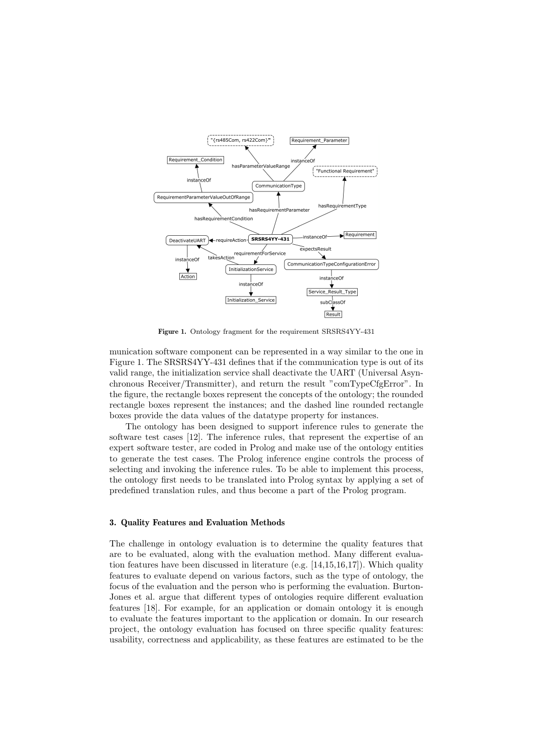

Figure 1. Ontology fragment for the requirement SRSRS4YY-431

munication software component can be represented in a way similar to the one in Figure 1. The SRSRS4YY-431 defines that if the communication type is out of its valid range, the initialization service shall deactivate the UART (Universal Asynchronous Receiver/Transmitter), and return the result "comTypeCfgError". In the figure, the rectangle boxes represent the concepts of the ontology; the rounded rectangle boxes represent the instances; and the dashed line rounded rectangle boxes provide the data values of the datatype property for instances.

The ontology has been designed to support inference rules to generate the software test cases [12]. The inference rules, that represent the expertise of an expert software tester, are coded in Prolog and make use of the ontology entities to generate the test cases. The Prolog inference engine controls the process of selecting and invoking the inference rules. To be able to implement this process, the ontology first needs to be translated into Prolog syntax by applying a set of predefined translation rules, and thus become a part of the Prolog program.

## 3. Quality Features and Evaluation Methods

The challenge in ontology evaluation is to determine the quality features that are to be evaluated, along with the evaluation method. Many different evaluation features have been discussed in literature (e.g.  $[14,15,16,17]$ ). Which quality features to evaluate depend on various factors, such as the type of ontology, the focus of the evaluation and the person who is performing the evaluation. Burton-Jones et al. argue that different types of ontologies require different evaluation features [18]. For example, for an application or domain ontology it is enough to evaluate the features important to the application or domain. In our research project, the ontology evaluation has focused on three specific quality features: usability, correctness and applicability, as these features are estimated to be the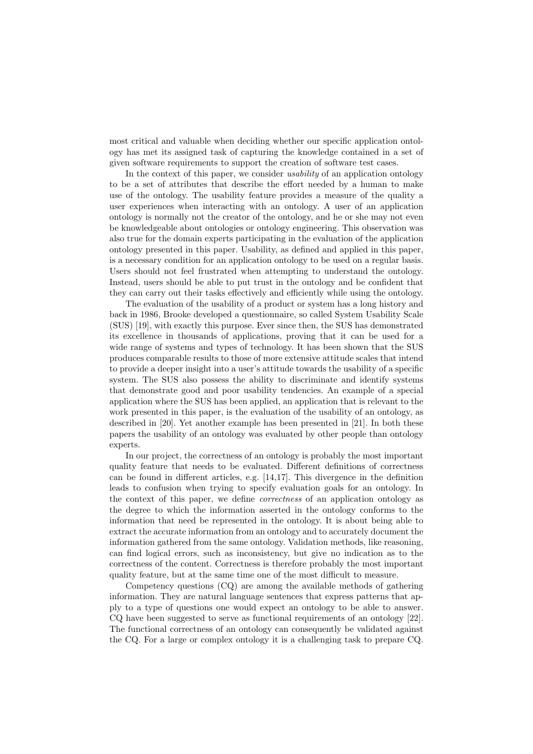most critical and valuable when deciding whether our specific application ontology has met its assigned task of capturing the knowledge contained in a set of given software requirements to support the creation of software test cases.

In the context of this paper, we consider *usability* of an application ontology to be a set of attributes that describe the effort needed by a human to make use of the ontology. The usability feature provides a measure of the quality a user experiences when interacting with an ontology. A user of an application ontology is normally not the creator of the ontology, and he or she may not even be knowledgeable about ontologies or ontology engineering. This observation was also true for the domain experts participating in the evaluation of the application ontology presented in this paper. Usability, as defined and applied in this paper, is a necessary condition for an application ontology to be used on a regular basis. Users should not feel frustrated when attempting to understand the ontology. Instead, users should be able to put trust in the ontology and be confident that they can carry out their tasks effectively and efficiently while using the ontology.

The evaluation of the usability of a product or system has a long history and back in 1986, Brooke developed a questionnaire, so called System Usability Scale (SUS) [19], with exactly this purpose. Ever since then, the SUS has demonstrated its excellence in thousands of applications, proving that it can be used for a wide range of systems and types of technology. It has been shown that the SUS produces comparable results to those of more extensive attitude scales that intend to provide a deeper insight into a user's attitude towards the usability of a specific system. The SUS also possess the ability to discriminate and identify systems that demonstrate good and poor usability tendencies. An example of a special application where the SUS has been applied, an application that is relevant to the work presented in this paper, is the evaluation of the usability of an ontology, as described in [20]. Yet another example has been presented in [21]. In both these papers the usability of an ontology was evaluated by other people than ontology experts.

In our project, the correctness of an ontology is probably the most important quality feature that needs to be evaluated. Different definitions of correctness can be found in different articles, e.g. [14,17]. This divergence in the definition leads to confusion when trying to specify evaluation goals for an ontology. In the context of this paper, we define correctness of an application ontology as the degree to which the information asserted in the ontology conforms to the information that need be represented in the ontology. It is about being able to extract the accurate information from an ontology and to accurately document the information gathered from the same ontology. Validation methods, like reasoning, can find logical errors, such as inconsistency, but give no indication as to the correctness of the content. Correctness is therefore probably the most important quality feature, but at the same time one of the most difficult to measure.

Competency questions (CQ) are among the available methods of gathering information. They are natural language sentences that express patterns that apply to a type of questions one would expect an ontology to be able to answer. CQ have been suggested to serve as functional requirements of an ontology [22]. The functional correctness of an ontology can consequently be validated against the CQ. For a large or complex ontology it is a challenging task to prepare CQ.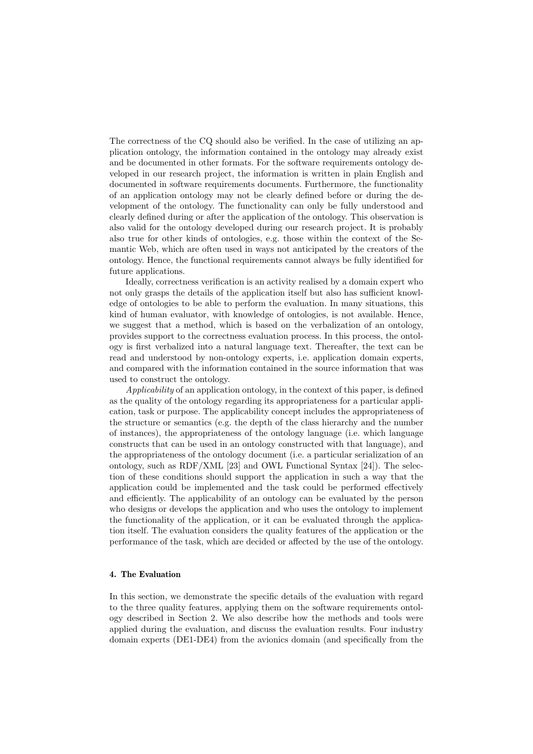The correctness of the CQ should also be verified. In the case of utilizing an application ontology, the information contained in the ontology may already exist and be documented in other formats. For the software requirements ontology developed in our research project, the information is written in plain English and documented in software requirements documents. Furthermore, the functionality of an application ontology may not be clearly defined before or during the development of the ontology. The functionality can only be fully understood and clearly defined during or after the application of the ontology. This observation is also valid for the ontology developed during our research project. It is probably also true for other kinds of ontologies, e.g. those within the context of the Semantic Web, which are often used in ways not anticipated by the creators of the ontology. Hence, the functional requirements cannot always be fully identified for future applications.

Ideally, correctness verification is an activity realised by a domain expert who not only grasps the details of the application itself but also has sufficient knowledge of ontologies to be able to perform the evaluation. In many situations, this kind of human evaluator, with knowledge of ontologies, is not available. Hence, we suggest that a method, which is based on the verbalization of an ontology, provides support to the correctness evaluation process. In this process, the ontology is first verbalized into a natural language text. Thereafter, the text can be read and understood by non-ontology experts, i.e. application domain experts, and compared with the information contained in the source information that was used to construct the ontology.

Applicability of an application ontology, in the context of this paper, is defined as the quality of the ontology regarding its appropriateness for a particular application, task or purpose. The applicability concept includes the appropriateness of the structure or semantics (e.g. the depth of the class hierarchy and the number of instances), the appropriateness of the ontology language (i.e. which language constructs that can be used in an ontology constructed with that language), and the appropriateness of the ontology document (i.e. a particular serialization of an ontology, such as RDF/XML [23] and OWL Functional Syntax [24]). The selection of these conditions should support the application in such a way that the application could be implemented and the task could be performed effectively and efficiently. The applicability of an ontology can be evaluated by the person who designs or develops the application and who uses the ontology to implement the functionality of the application, or it can be evaluated through the application itself. The evaluation considers the quality features of the application or the performance of the task, which are decided or affected by the use of the ontology.

## 4. The Evaluation

In this section, we demonstrate the specific details of the evaluation with regard to the three quality features, applying them on the software requirements ontology described in Section 2. We also describe how the methods and tools were applied during the evaluation, and discuss the evaluation results. Four industry domain experts (DE1-DE4) from the avionics domain (and specifically from the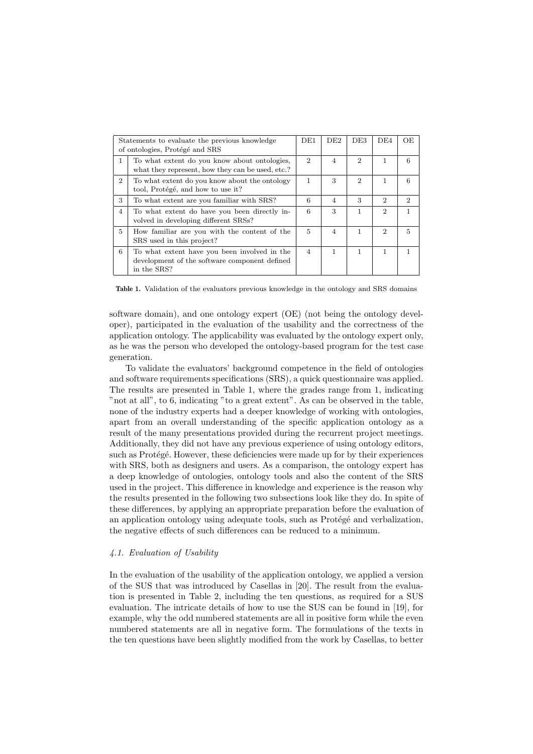| Statements to evaluate the previous knowledge<br>of ontologies, Protégé and SRS |                                                                                                              | DE1                         | DE2            | DE3                         | DE4            | OE                          |
|---------------------------------------------------------------------------------|--------------------------------------------------------------------------------------------------------------|-----------------------------|----------------|-----------------------------|----------------|-----------------------------|
| 1                                                                               | To what extent do you know about ontologies,<br>what they represent, how they can be used, etc.?             | $\mathcal{D}_{\mathcal{L}}$ | $\overline{4}$ | $\mathcal{D}_{\mathcal{L}}$ | 1              | 6                           |
| $2^{1}$                                                                         | To what extent do you know about the ontology<br>tool, Protégé, and how to use it?                           | 1                           | 3              | $\mathcal{D}$               | 1              | 6                           |
| 3                                                                               | To what extent are you familiar with SRS?                                                                    | 6                           | $\overline{4}$ | 3                           | $\mathfrak{D}$ | $\mathcal{D}_{\mathcal{L}}$ |
| $\overline{4}$                                                                  | To what extent do have you been directly in-<br>volved in developing different SRSs?                         | 6                           | 3              | 1                           | 2              |                             |
| 5                                                                               | How familiar are you with the content of the<br>SRS used in this project?                                    | 5                           | $\overline{4}$ | 1                           | 2              | 5                           |
| 6                                                                               | To what extent have you been involved in the<br>development of the software component defined<br>in the SRS? | $\overline{4}$              | 1              | 1                           | 1              |                             |

Table 1. Validation of the evaluators previous knowledge in the ontology and SRS domains

software domain), and one ontology expert (OE) (not being the ontology developer), participated in the evaluation of the usability and the correctness of the application ontology. The applicability was evaluated by the ontology expert only, as he was the person who developed the ontology-based program for the test case generation.

To validate the evaluators' background competence in the field of ontologies and software requirements specifications (SRS), a quick questionnaire was applied. The results are presented in Table 1, where the grades range from 1, indicating "not at all", to 6, indicating "to a great extent". As can be observed in the table, none of the industry experts had a deeper knowledge of working with ontologies, apart from an overall understanding of the specific application ontology as a result of the many presentations provided during the recurrent project meetings. Additionally, they did not have any previous experience of using ontology editors, such as Protégé. However, these deficiencies were made up for by their experiences with SRS, both as designers and users. As a comparison, the ontology expert has a deep knowledge of ontologies, ontology tools and also the content of the SRS used in the project. This difference in knowledge and experience is the reason why the results presented in the following two subsections look like they do. In spite of these differences, by applying an appropriate preparation before the evaluation of an application ontology using adequate tools, such as Protégé and verbalization, the negative effects of such differences can be reduced to a minimum.

## 4.1. Evaluation of Usability

In the evaluation of the usability of the application ontology, we applied a version of the SUS that was introduced by Casellas in [20]. The result from the evaluation is presented in Table 2, including the ten questions, as required for a SUS evaluation. The intricate details of how to use the SUS can be found in [19], for example, why the odd numbered statements are all in positive form while the even numbered statements are all in negative form. The formulations of the texts in the ten questions have been slightly modified from the work by Casellas, to better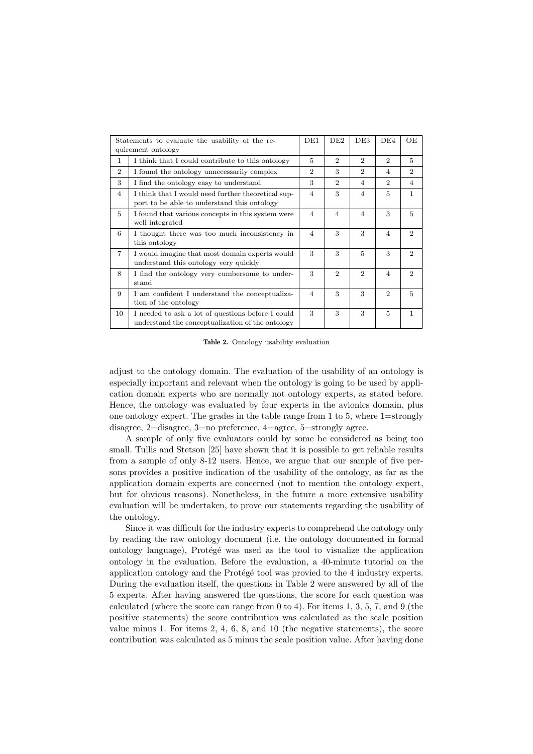|                             | Statements to evaluate the usability of the re-<br>quirement ontology                                 | DE1            | DE2                         | DE3                         | DE <sub>4</sub>             | ΟE                          |
|-----------------------------|-------------------------------------------------------------------------------------------------------|----------------|-----------------------------|-----------------------------|-----------------------------|-----------------------------|
| $\mathbf{1}$                | I think that I could contribute to this ontology                                                      | $\overline{5}$ | $\overline{2}$              | $\mathcal{D}_{\mathcal{L}}$ | $\mathcal{D}_{\mathcal{L}}$ | 5                           |
| $\mathcal{D}_{\mathcal{L}}$ | I found the ontology unnecessarily complex                                                            | 2              | 3                           | $\mathcal{D}_{\mathcal{L}}$ | 4                           | $\mathcal{D}_{\mathcal{L}}$ |
| 3                           | I find the ontology easy to understand                                                                | 3              | $\overline{2}$              | $\overline{4}$              | $\mathcal{D}_{\mathcal{L}}$ | 4                           |
| $\overline{4}$              | I think that I would need further theoretical sup-<br>port to be able to understand this ontology     | $\overline{4}$ | 3                           | $\overline{4}$              | $\overline{5}$              | $\mathbf{1}$                |
| 5                           | I found that various concepts in this system were<br>well integrated                                  | $\overline{4}$ | $\overline{4}$              | $\overline{4}$              | 3                           | 5                           |
| 6                           | I thought there was too much inconsistency in<br>this ontology                                        | $\overline{4}$ | 3                           | 3                           | $\overline{4}$              | $\mathcal{D}_{\mathcal{L}}$ |
| $\overline{7}$              | I would imagine that most domain experts would<br>understand this ontology very quickly               | 3              | 3                           | 5                           | 3                           | $\mathcal{D}_{\mathcal{L}}$ |
| 8                           | I find the ontology very cumbersome to under-<br>stand                                                |                | $\mathcal{D}_{\mathcal{L}}$ | $\mathcal{D}$               | $\overline{4}$              | $\mathcal{D}_{\mathcal{L}}$ |
| 9                           | I am confident I understand the conceptualiza-<br>tion of the ontology                                | $\overline{4}$ | 3                           | 3                           | $\mathcal{D}_{\mathcal{L}}$ | $\overline{5}$              |
| 10                          | I needed to ask a lot of questions before I could<br>understand the conceptualization of the ontology |                | 3                           | 3                           | $\overline{5}$              | $\mathbf{1}$                |

Table 2. Ontology usability evaluation

adjust to the ontology domain. The evaluation of the usability of an ontology is especially important and relevant when the ontology is going to be used by application domain experts who are normally not ontology experts, as stated before. Hence, the ontology was evaluated by four experts in the avionics domain, plus one ontology expert. The grades in the table range from 1 to 5, where 1=strongly disagree, 2=disagree, 3=no preference, 4=agree, 5=strongly agree.

A sample of only five evaluators could by some be considered as being too small. Tullis and Stetson [25] have shown that it is possible to get reliable results from a sample of only 8-12 users. Hence, we argue that our sample of five persons provides a positive indication of the usability of the ontology, as far as the application domain experts are concerned (not to mention the ontology expert, but for obvious reasons). Nonetheless, in the future a more extensive usability evaluation will be undertaken, to prove our statements regarding the usability of the ontology.

Since it was difficult for the industry experts to comprehend the ontology only by reading the raw ontology document (i.e. the ontology documented in formal ontology language), Protégé was used as the tool to visualize the application ontology in the evaluation. Before the evaluation, a 40-minute tutorial on the application ontology and the Protégé tool was provied to the 4 industry experts. During the evaluation itself, the questions in Table 2 were answered by all of the 5 experts. After having answered the questions, the score for each question was calculated (where the score can range from 0 to 4). For items 1, 3, 5, 7, and 9 (the positive statements) the score contribution was calculated as the scale position value minus 1. For items 2, 4, 6, 8, and 10 (the negative statements), the score contribution was calculated as 5 minus the scale position value. After having done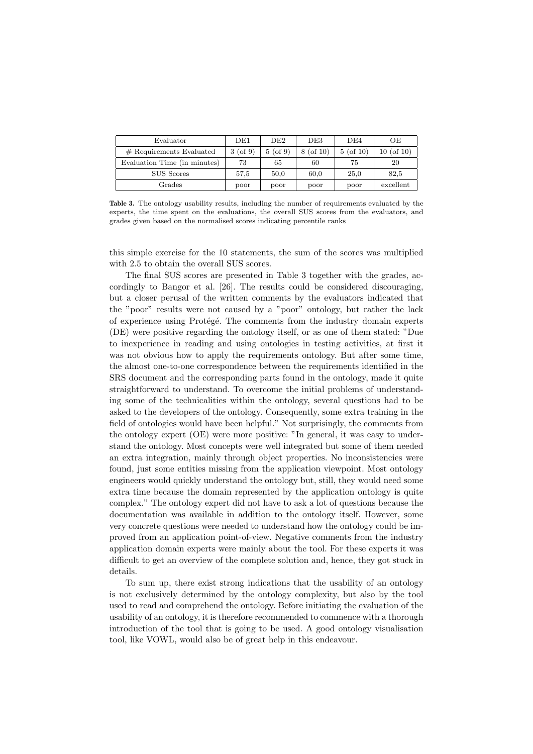| Evaluator                    | DE1        | DE2        | DE3         | DE4         | OЕ              |
|------------------------------|------------|------------|-------------|-------------|-----------------|
| $#$ Requirements Evaluated   | $3($ of 9) | $5($ of 9) | $8($ of 10) | $5($ of 10) | $10$ (of $10$ ) |
| Evaluation Time (in minutes) | 73         | 65         | 60          | 75          | 20              |
| SUS Scores                   | 57,5       | 50.0       | 60,0        | 25,0        | 82,5            |
| Grades                       | poor       | poor       | poor        | poor        | excellent       |

Table 3. The ontology usability results, including the number of requirements evaluated by the experts, the time spent on the evaluations, the overall SUS scores from the evaluators, and grades given based on the normalised scores indicating percentile ranks

this simple exercise for the 10 statements, the sum of the scores was multiplied with 2.5 to obtain the overall SUS scores.

The final SUS scores are presented in Table 3 together with the grades, accordingly to Bangor et al. [26]. The results could be considered discouraging, but a closer perusal of the written comments by the evaluators indicated that the "poor" results were not caused by a "poor" ontology, but rather the lack of experience using Protégé. The comments from the industry domain experts (DE) were positive regarding the ontology itself, or as one of them stated: "Due to inexperience in reading and using ontologies in testing activities, at first it was not obvious how to apply the requirements ontology. But after some time, the almost one-to-one correspondence between the requirements identified in the SRS document and the corresponding parts found in the ontology, made it quite straightforward to understand. To overcome the initial problems of understanding some of the technicalities within the ontology, several questions had to be asked to the developers of the ontology. Consequently, some extra training in the field of ontologies would have been helpful." Not surprisingly, the comments from the ontology expert (OE) were more positive: "In general, it was easy to understand the ontology. Most concepts were well integrated but some of them needed an extra integration, mainly through object properties. No inconsistencies were found, just some entities missing from the application viewpoint. Most ontology engineers would quickly understand the ontology but, still, they would need some extra time because the domain represented by the application ontology is quite complex." The ontology expert did not have to ask a lot of questions because the documentation was available in addition to the ontology itself. However, some very concrete questions were needed to understand how the ontology could be improved from an application point-of-view. Negative comments from the industry application domain experts were mainly about the tool. For these experts it was difficult to get an overview of the complete solution and, hence, they got stuck in details.

To sum up, there exist strong indications that the usability of an ontology is not exclusively determined by the ontology complexity, but also by the tool used to read and comprehend the ontology. Before initiating the evaluation of the usability of an ontology, it is therefore recommended to commence with a thorough introduction of the tool that is going to be used. A good ontology visualisation tool, like VOWL, would also be of great help in this endeavour.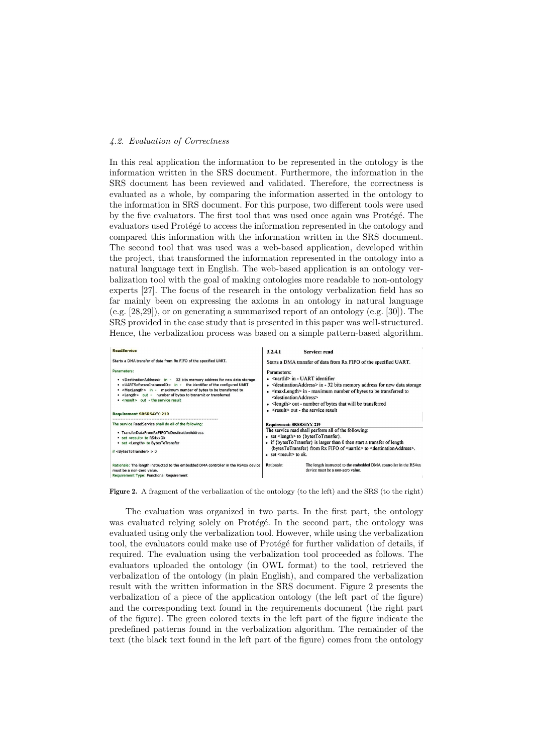## 4.2. Evaluation of Correctness

In this real application the information to be represented in the ontology is the information written in the SRS document. Furthermore, the information in the SRS document has been reviewed and validated. Therefore, the correctness is evaluated as a whole, by comparing the information asserted in the ontology to the information in SRS document. For this purpose, two different tools were used by the five evaluators. The first tool that was used once again was Protégé. The evaluators used Protégé to access the information represented in the ontology and compared this information with the information written in the SRS document. The second tool that was used was a web-based application, developed within the project, that transformed the information represented in the ontology into a natural language text in English. The web-based application is an ontology verbalization tool with the goal of making ontologies more readable to non-ontology experts [27]. The focus of the research in the ontology verbalization field has so far mainly been on expressing the axioms in an ontology in natural language (e.g. [28,29]), or on generating a summarized report of an ontology (e.g. [30]). The SRS provided in the case study that is presented in this paper was well-structured. Hence, the verbalization process was based on a simple pattern-based algorithm.



Figure 2. A fragment of the verbalization of the ontology (to the left) and the SRS (to the right)

The evaluation was organized in two parts. In the first part, the ontology was evaluated relying solely on Protégé. In the second part, the ontology was evaluated using only the verbalization tool. However, while using the verbalization tool, the evaluators could make use of Protégé for further validation of details, if required. The evaluation using the verbalization tool proceeded as follows. The evaluators uploaded the ontology (in OWL format) to the tool, retrieved the verbalization of the ontology (in plain English), and compared the verbalization result with the written information in the SRS document. Figure 2 presents the verbalization of a piece of the application ontology (the left part of the figure) and the corresponding text found in the requirements document (the right part of the figure). The green colored texts in the left part of the figure indicate the predefined patterns found in the verbalization algorithm. The remainder of the text (the black text found in the left part of the figure) comes from the ontology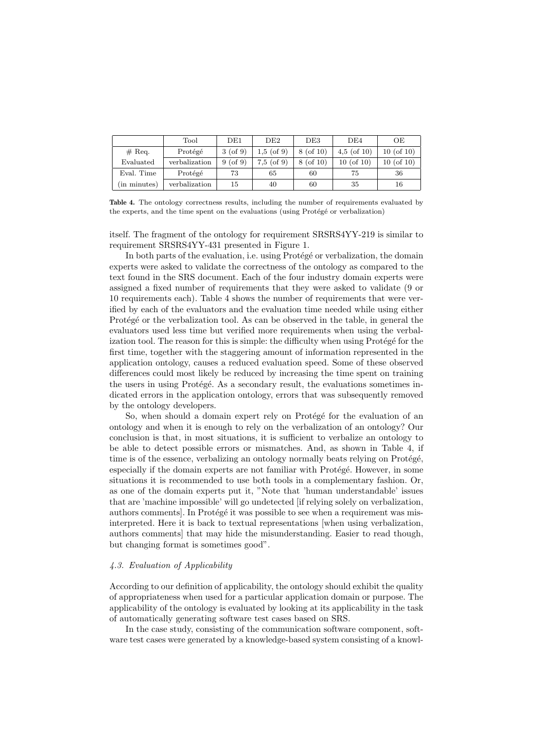|                        | Tool          | DE1          | DE <sub>2</sub> | DE3         | DE <sub>4</sub> | OЕ             |
|------------------------|---------------|--------------|-----------------|-------------|-----------------|----------------|
| $#$ Req.               | Protégé       | $3($ of 9)   | $1,5$ (of 9)    | $8($ of 10) | $4.5$ (of 10)   | $10($ of $10)$ |
| Evaluated              | verbalization | $9($ of $9)$ | $7.5$ (of 9)    | $8($ of 10) | $10$ (of $10$ ) | $10($ of $10)$ |
| Eval. Time             | Protégé       | 73           | 65              | 60          | 75              | 36             |
| $(in \text{ minutes})$ | verbalization | 15           | 40              | 60          | 35              | 16             |

Table 4. The ontology correctness results, including the number of requirements evaluated by the experts, and the time spent on the evaluations (using Protégé or verbalization)

itself. The fragment of the ontology for requirement SRSRS4YY-219 is similar to requirement SRSRS4YY-431 presented in Figure 1.

In both parts of the evaluation, i.e. using Protégé or verbalization, the domain experts were asked to validate the correctness of the ontology as compared to the text found in the SRS document. Each of the four industry domain experts were assigned a fixed number of requirements that they were asked to validate (9 or 10 requirements each). Table 4 shows the number of requirements that were verified by each of the evaluators and the evaluation time needed while using either Protégé or the verbalization tool. As can be observed in the table, in general the evaluators used less time but verified more requirements when using the verbalization tool. The reason for this is simple: the difficulty when using Protégé for the first time, together with the staggering amount of information represented in the application ontology, causes a reduced evaluation speed. Some of these observed differences could most likely be reduced by increasing the time spent on training the users in using Protégé. As a secondary result, the evaluations sometimes indicated errors in the application ontology, errors that was subsequently removed by the ontology developers.

So, when should a domain expert rely on Protégé for the evaluation of an ontology and when it is enough to rely on the verbalization of an ontology? Our conclusion is that, in most situations, it is sufficient to verbalize an ontology to be able to detect possible errors or mismatches. And, as shown in Table 4, if time is of the essence, verbalizing an ontology normally beats relying on Protégé, especially if the domain experts are not familiar with Protégé. However, in some situations it is recommended to use both tools in a complementary fashion. Or, as one of the domain experts put it, "Note that 'human understandable' issues that are 'machine impossible' will go undetected [if relying solely on verbalization, authors comments. In Protégé it was possible to see when a requirement was misinterpreted. Here it is back to textual representations [when using verbalization, authors comments] that may hide the misunderstanding. Easier to read though, but changing format is sometimes good".

## 4.3. Evaluation of Applicability

According to our definition of applicability, the ontology should exhibit the quality of appropriateness when used for a particular application domain or purpose. The applicability of the ontology is evaluated by looking at its applicability in the task of automatically generating software test cases based on SRS.

In the case study, consisting of the communication software component, software test cases were generated by a knowledge-based system consisting of a knowl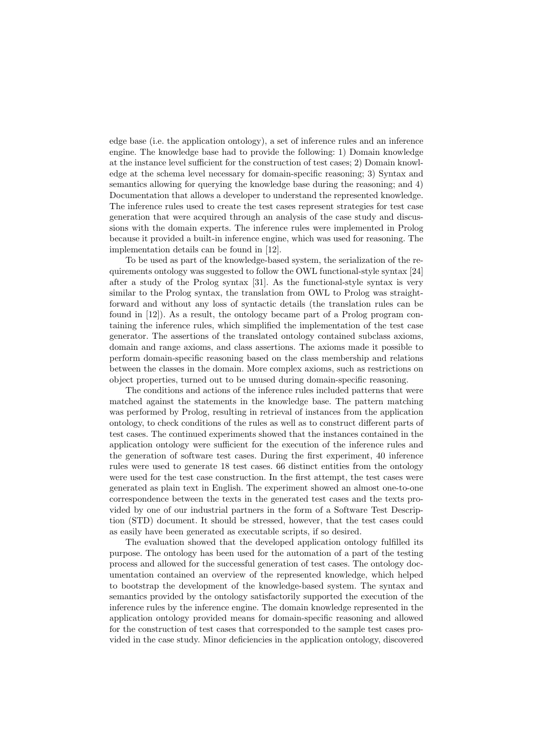edge base (i.e. the application ontology), a set of inference rules and an inference engine. The knowledge base had to provide the following: 1) Domain knowledge at the instance level sufficient for the construction of test cases; 2) Domain knowledge at the schema level necessary for domain-specific reasoning; 3) Syntax and semantics allowing for querying the knowledge base during the reasoning; and 4) Documentation that allows a developer to understand the represented knowledge. The inference rules used to create the test cases represent strategies for test case generation that were acquired through an analysis of the case study and discussions with the domain experts. The inference rules were implemented in Prolog because it provided a built-in inference engine, which was used for reasoning. The implementation details can be found in [12].

To be used as part of the knowledge-based system, the serialization of the requirements ontology was suggested to follow the OWL functional-style syntax [24] after a study of the Prolog syntax [31]. As the functional-style syntax is very similar to the Prolog syntax, the translation from OWL to Prolog was straightforward and without any loss of syntactic details (the translation rules can be found in [12]). As a result, the ontology became part of a Prolog program containing the inference rules, which simplified the implementation of the test case generator. The assertions of the translated ontology contained subclass axioms, domain and range axioms, and class assertions. The axioms made it possible to perform domain-specific reasoning based on the class membership and relations between the classes in the domain. More complex axioms, such as restrictions on object properties, turned out to be unused during domain-specific reasoning.

The conditions and actions of the inference rules included patterns that were matched against the statements in the knowledge base. The pattern matching was performed by Prolog, resulting in retrieval of instances from the application ontology, to check conditions of the rules as well as to construct different parts of test cases. The continued experiments showed that the instances contained in the application ontology were sufficient for the execution of the inference rules and the generation of software test cases. During the first experiment, 40 inference rules were used to generate 18 test cases. 66 distinct entities from the ontology were used for the test case construction. In the first attempt, the test cases were generated as plain text in English. The experiment showed an almost one-to-one correspondence between the texts in the generated test cases and the texts provided by one of our industrial partners in the form of a Software Test Description (STD) document. It should be stressed, however, that the test cases could as easily have been generated as executable scripts, if so desired.

The evaluation showed that the developed application ontology fulfilled its purpose. The ontology has been used for the automation of a part of the testing process and allowed for the successful generation of test cases. The ontology documentation contained an overview of the represented knowledge, which helped to bootstrap the development of the knowledge-based system. The syntax and semantics provided by the ontology satisfactorily supported the execution of the inference rules by the inference engine. The domain knowledge represented in the application ontology provided means for domain-specific reasoning and allowed for the construction of test cases that corresponded to the sample test cases provided in the case study. Minor deficiencies in the application ontology, discovered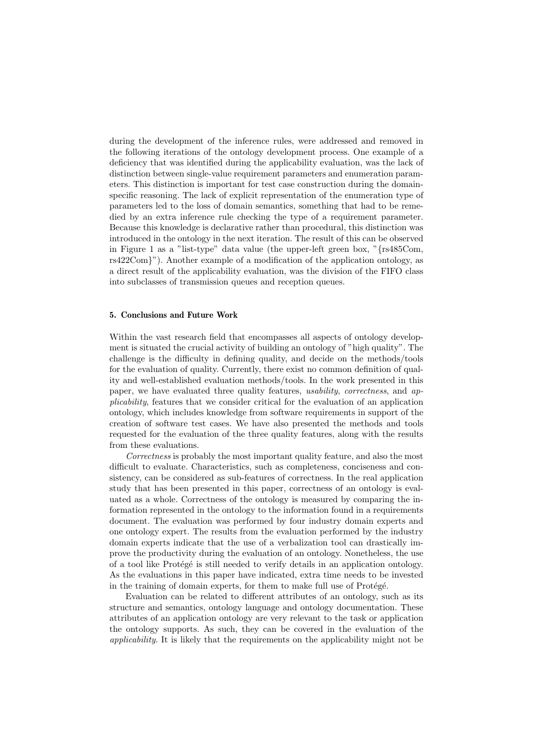during the development of the inference rules, were addressed and removed in the following iterations of the ontology development process. One example of a deficiency that was identified during the applicability evaluation, was the lack of distinction between single-value requirement parameters and enumeration parameters. This distinction is important for test case construction during the domainspecific reasoning. The lack of explicit representation of the enumeration type of parameters led to the loss of domain semantics, something that had to be remedied by an extra inference rule checking the type of a requirement parameter. Because this knowledge is declarative rather than procedural, this distinction was introduced in the ontology in the next iteration. The result of this can be observed in Figure 1 as a "list-type" data value (the upper-left green box, "{rs485Com, rs422Com}"). Another example of a modification of the application ontology, as a direct result of the applicability evaluation, was the division of the FIFO class into subclasses of transmission queues and reception queues.

### 5. Conclusions and Future Work

Within the vast research field that encompasses all aspects of ontology development is situated the crucial activity of building an ontology of "high quality". The challenge is the difficulty in defining quality, and decide on the methods/tools for the evaluation of quality. Currently, there exist no common definition of quality and well-established evaluation methods/tools. In the work presented in this paper, we have evaluated three quality features, usability, correctness, and applicability, features that we consider critical for the evaluation of an application ontology, which includes knowledge from software requirements in support of the creation of software test cases. We have also presented the methods and tools requested for the evaluation of the three quality features, along with the results from these evaluations.

Correctness is probably the most important quality feature, and also the most difficult to evaluate. Characteristics, such as completeness, conciseness and consistency, can be considered as sub-features of correctness. In the real application study that has been presented in this paper, correctness of an ontology is evaluated as a whole. Correctness of the ontology is measured by comparing the information represented in the ontology to the information found in a requirements document. The evaluation was performed by four industry domain experts and one ontology expert. The results from the evaluation performed by the industry domain experts indicate that the use of a verbalization tool can drastically improve the productivity during the evaluation of an ontology. Nonetheless, the use of a tool like Protégé is still needed to verify details in an application ontology. As the evaluations in this paper have indicated, extra time needs to be invested in the training of domain experts, for them to make full use of Protégé.

Evaluation can be related to different attributes of an ontology, such as its structure and semantics, ontology language and ontology documentation. These attributes of an application ontology are very relevant to the task or application the ontology supports. As such, they can be covered in the evaluation of the applicability. It is likely that the requirements on the applicability might not be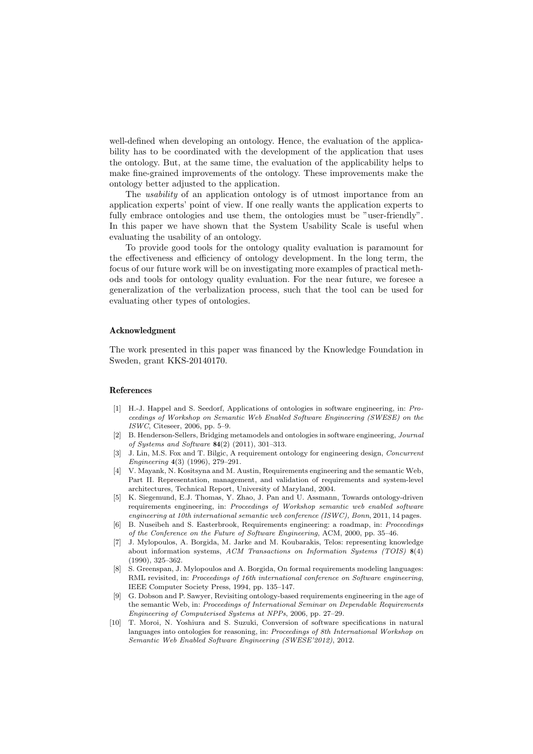well-defined when developing an ontology. Hence, the evaluation of the applicability has to be coordinated with the development of the application that uses the ontology. But, at the same time, the evaluation of the applicability helps to make fine-grained improvements of the ontology. These improvements make the ontology better adjusted to the application.

The *usability* of an application ontology is of utmost importance from an application experts' point of view. If one really wants the application experts to fully embrace ontologies and use them, the ontologies must be "user-friendly". In this paper we have shown that the System Usability Scale is useful when evaluating the usability of an ontology.

To provide good tools for the ontology quality evaluation is paramount for the effectiveness and efficiency of ontology development. In the long term, the focus of our future work will be on investigating more examples of practical methods and tools for ontology quality evaluation. For the near future, we foresee a generalization of the verbalization process, such that the tool can be used for evaluating other types of ontologies.

## Acknowledgment

The work presented in this paper was financed by the Knowledge Foundation in Sweden, grant KKS-20140170.

#### References

- [1] H.-J. Happel and S. Seedorf, Applications of ontologies in software engineering, in: Proceedings of Workshop on Semantic Web Enabled Software Engineering (SWESE) on the ISWC, Citeseer, 2006, pp. 5–9.
- [2] B. Henderson-Sellers, Bridging metamodels and ontologies in software engineering, Journal of Systems and Software 84(2) (2011), 301–313.
- [3] J. Lin, M.S. Fox and T. Bilgic, A requirement ontology for engineering design, *Concurrent* Engineering 4(3) (1996), 279–291.
- [4] V. Mayank, N. Kositsyna and M. Austin, Requirements engineering and the semantic Web, Part II. Representation, management, and validation of requirements and system-level architectures, Technical Report, University of Maryland, 2004.
- [5] K. Siegemund, E.J. Thomas, Y. Zhao, J. Pan and U. Assmann, Towards ontology-driven requirements engineering, in: Proceedings of Workshop semantic web enabled software engineering at 10th international semantic web conference (ISWC), Bonn, 2011, 14 pages.
- [6] B. Nuseibeh and S. Easterbrook, Requirements engineering: a roadmap, in: Proceedings of the Conference on the Future of Software Engineering, ACM, 2000, pp. 35–46.
- [7] J. Mylopoulos, A. Borgida, M. Jarke and M. Koubarakis, Telos: representing knowledge about information systems, ACM Transactions on Information Systems (TOIS) 8(4) (1990), 325–362.
- [8] S. Greenspan, J. Mylopoulos and A. Borgida, On formal requirements modeling languages: RML revisited, in: Proceedings of 16th international conference on Software engineering, IEEE Computer Society Press, 1994, pp. 135–147.
- [9] G. Dobson and P. Sawyer, Revisiting ontology-based requirements engineering in the age of the semantic Web, in: Proceedings of International Seminar on Dependable Requirements Engineering of Computerised Systems at NPPs, 2006, pp. 27–29.
- [10] T. Moroi, N. Yoshiura and S. Suzuki, Conversion of software specifications in natural languages into ontologies for reasoning, in: Proceedings of 8th International Workshop on Semantic Web Enabled Software Engineering (SWESE'2012), 2012.